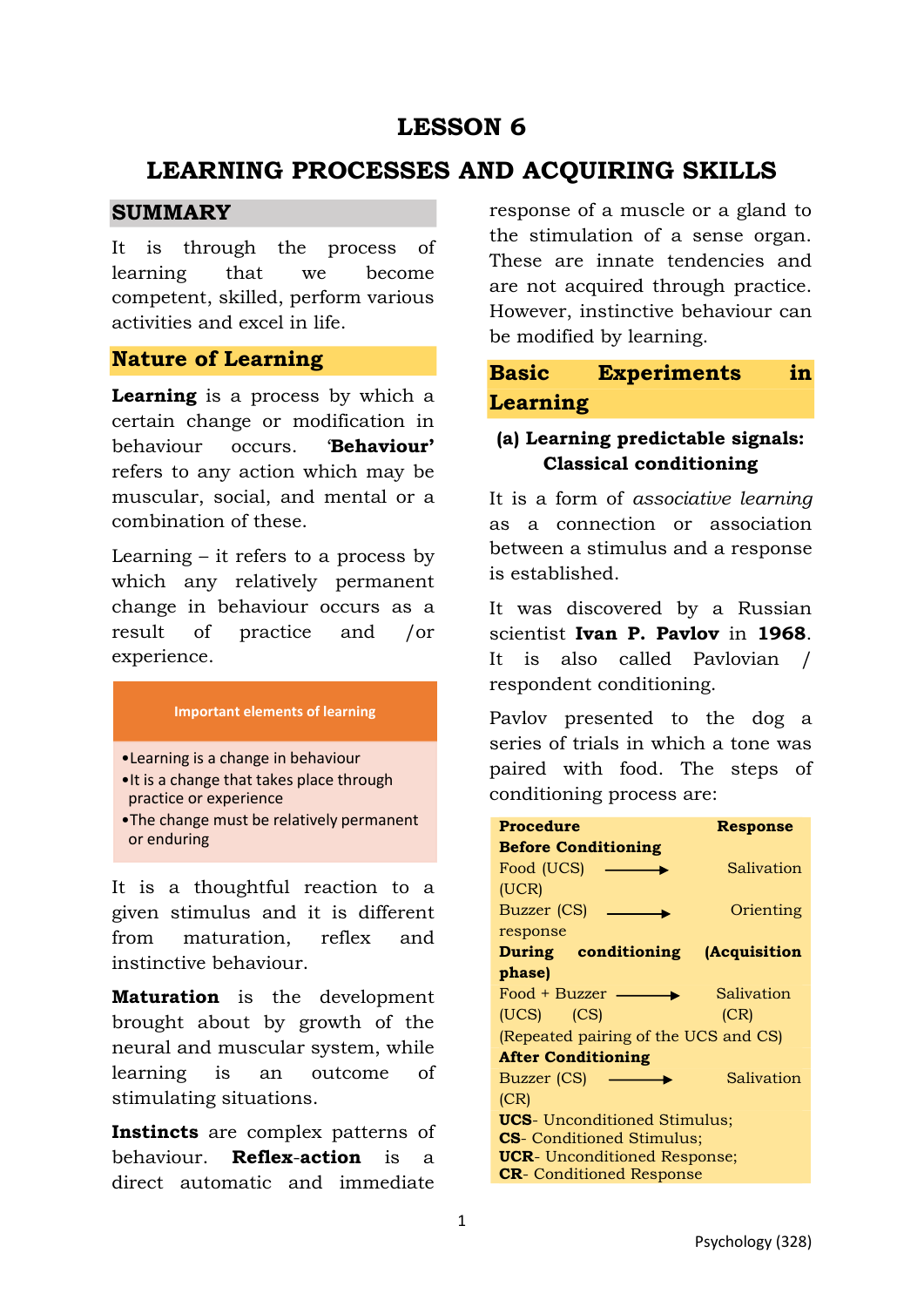# **LESSON 6**

# **LEARNING PROCESSES AND ACQUIRING SKILLS**

### **SUMMARY**

It is through the process of learning that we become competent, skilled, perform various activities and excel in life.

### **Nature of Learning**

**Learning** is a process by which a certain change or modification in behaviour occurs. '**Behaviour'** refers to any action which may be muscular, social, and mental or a combination of these.

Learning – it refers to a process by which any relatively permanent change in behaviour occurs as a result of practice and /or experience.

#### **Important elements of learning**

- •Learning is a change in behaviour
- •It is a change that takes place through practice or experience
- •The change must be relatively permanent or enduring

It is a thoughtful reaction to a given stimulus and it is different from maturation, reflex and instinctive behaviour.

**Maturation** is the development brought about by growth of the neural and muscular system, while learning is an outcome of stimulating situations.

**Instincts** are complex patterns of behaviour. **Reflex**-**action** is a direct automatic and immediate response of a muscle or a gland to the stimulation of a sense organ. These are innate tendencies and are not acquired through practice. However, instinctive behaviour can be modified by learning.

## **Basic Experiments in Learning**

### **(a) Learning predictable signals: Classical conditioning**

It is a form of *associative learning* as a connection or association between a stimulus and a response is established.

It was discovered by a Russian scientist **Ivan P. Pavlov** in **1968**. It is also called Pavlovian / respondent conditioning.

Pavlov presented to the dog a series of trials in which a tone was paired with food. The steps of conditioning process are:

| Procedure                            | Response            |
|--------------------------------------|---------------------|
| <b>Before Conditioning</b>           |                     |
| Food (UCS)                           | Salivation          |
| (UCR)                                |                     |
| Buzzer (CS)                          | Orienting           |
| response                             |                     |
| During conditioning                  | <i>(Acquisition</i> |
| phase)                               |                     |
| $Food + Buzzer$ —                    | Salivation          |
| $(UCS)$ $(CS)$                       | (CR)                |
| (Repeated pairing of the UCS and CS) |                     |
| <b>After Conditioning</b>            |                     |
| Buzzer (CS)                          | Salivation          |
| (CR)                                 |                     |
| <b>UCS</b> - Unconditioned Stimulus; |                     |
| <b>CS</b> - Conditioned Stimulus;    |                     |
| <b>UCR</b> - Unconditioned Response; |                     |
| <b>CR</b> - Conditioned Response     |                     |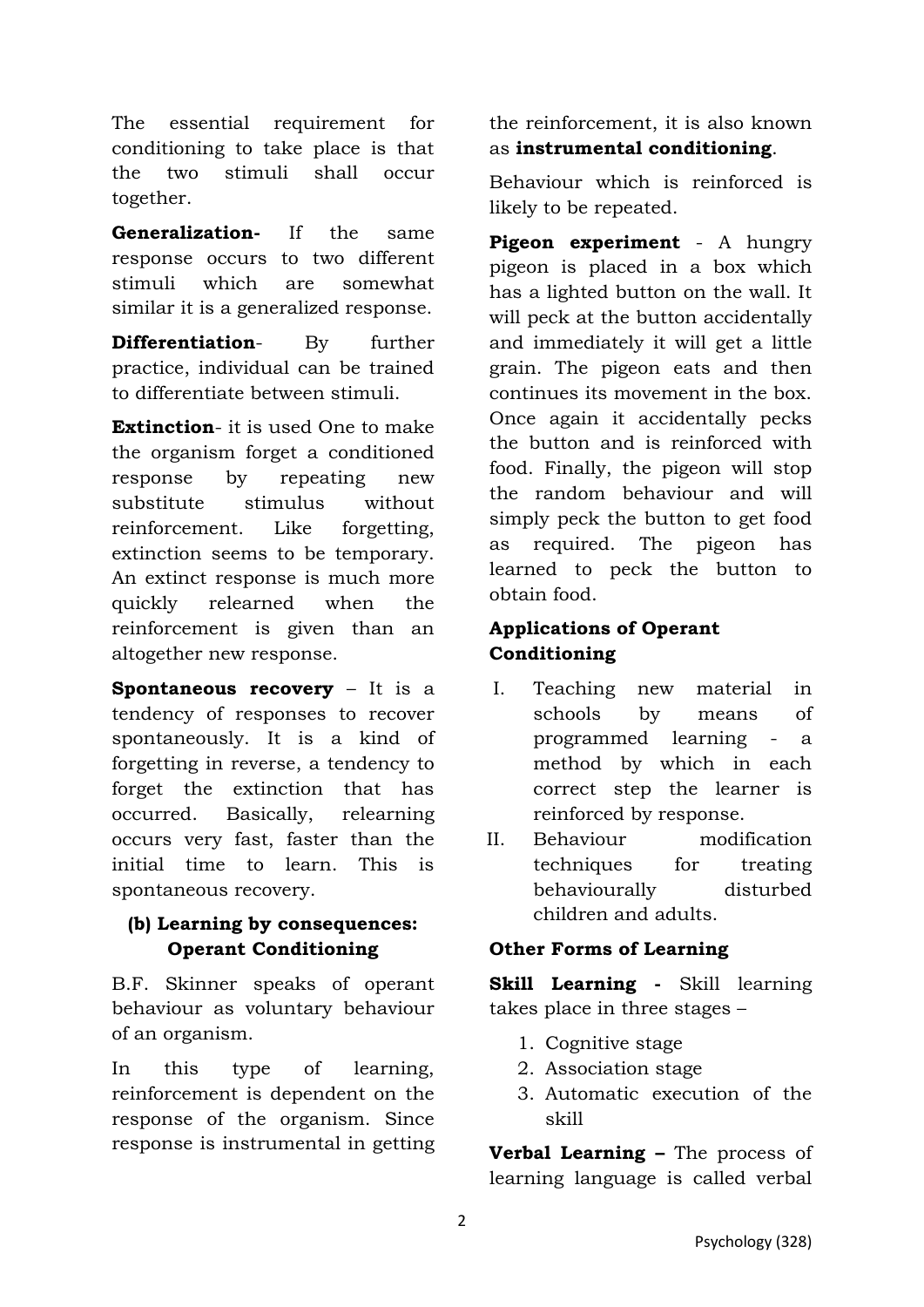The essential requirement for conditioning to take place is that the two stimuli shall occur together.

**Generalization-** If the same response occurs to two different stimuli which are somewhat similar it is a generalized response.

**Differentiation**- By further practice, individual can be trained to differentiate between stimuli.

**Extinction**- it is used One to make the organism forget a conditioned response by repeating new substitute stimulus without reinforcement. Like forgetting, extinction seems to be temporary. An extinct response is much more quickly relearned when the reinforcement is given than an altogether new response.

**Spontaneous recovery** – It is a tendency of responses to recover spontaneously. It is a kind of forgetting in reverse, a tendency to forget the extinction that has occurred. Basically, relearning occurs very fast, faster than the initial time to learn. This is spontaneous recovery.

#### **(b) Learning by consequences: Operant Conditioning**

B.F. Skinner speaks of operant behaviour as voluntary behaviour of an organism.

In this type of learning, reinforcement is dependent on the response of the organism. Since response is instrumental in getting the reinforcement, it is also known as **instrumental conditioning**.

Behaviour which is reinforced is likely to be repeated.

**Pigeon experiment** - A hungry pigeon is placed in a box which has a lighted button on the wall. It will peck at the button accidentally and immediately it will get a little grain. The pigeon eats and then continues its movement in the box. Once again it accidentally pecks the button and is reinforced with food. Finally, the pigeon will stop the random behaviour and will simply peck the button to get food as required. The pigeon has learned to peck the button to obtain food.

## **Applications of Operant Conditioning**

- I. Teaching new material in schools by means of programmed learning - a method by which in each correct step the learner is reinforced by response.
- II. Behaviour modification techniques for treating behaviourally disturbed children and adults.

## **Other Forms of Learning**

**Skill Learning -** Skill learning takes place in three stages –

- 1. Cognitive stage
- 2. Association stage
- 3. Automatic execution of the skill

**Verbal Learning –** The process of learning language is called verbal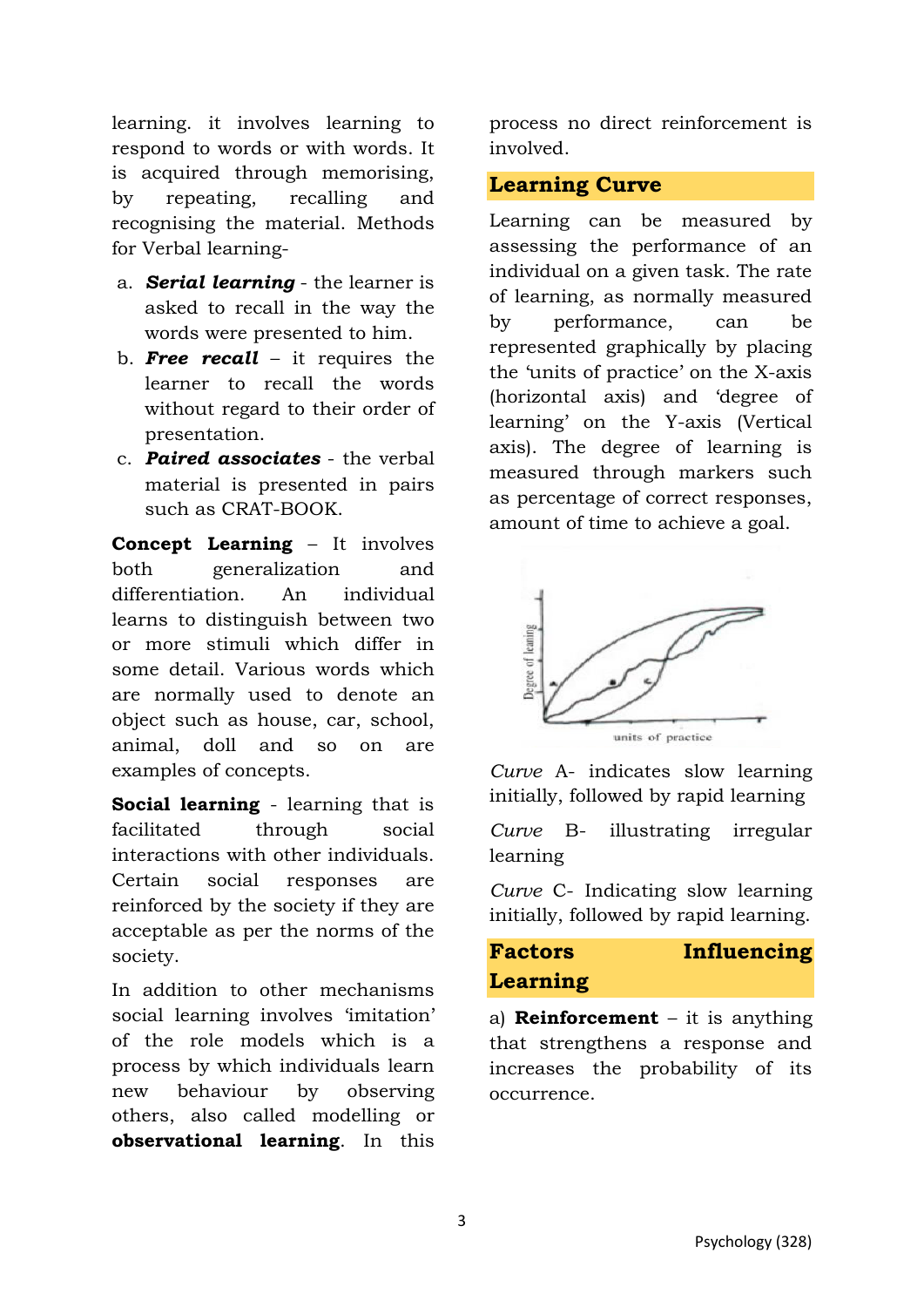learning. it involves learning to respond to words or with words. It is acquired through memorising, by repeating, recalling and recognising the material. Methods for Verbal learning-

- a. *Serial learning* the learner is asked to recall in the way the words were presented to him.
- b. *Free recall* it requires the learner to recall the words without regard to their order of presentation.
- c. *Paired associates* the verbal material is presented in pairs such as CRAT-BOOK.

**Concept Learning** – It involves both generalization and differentiation. An individual learns to distinguish between two or more stimuli which differ in some detail. Various words which are normally used to denote an object such as house, car, school, animal, doll and so on are examples of concepts.

**Social learning** - learning that is facilitated through social interactions with other individuals. Certain social responses are reinforced by the society if they are acceptable as per the norms of the society.

In addition to other mechanisms social learning involves 'imitation' of the role models which is a process by which individuals learn new behaviour by observing others, also called modelling or **observational learning**. In this process no direct reinforcement is involved.

#### **Learning Curve**

Learning can be measured by assessing the performance of an individual on a given task. The rate of learning, as normally measured by performance, can be represented graphically by placing the 'units of practice' on the X-axis (horizontal axis) and 'degree of learning' on the Y-axis (Vertical axis). The degree of learning is measured through markers such as percentage of correct responses, amount of time to achieve a goal.



*Curve* A- indicates slow learning initially, followed by rapid learning

*Curve* B- illustrating irregular learning

*Curve* C- Indicating slow learning initially, followed by rapid learning.

## **Factors Influencing Learning**

a) **Reinforcement** – it is anything that strengthens a response and increases the probability of its occurrence.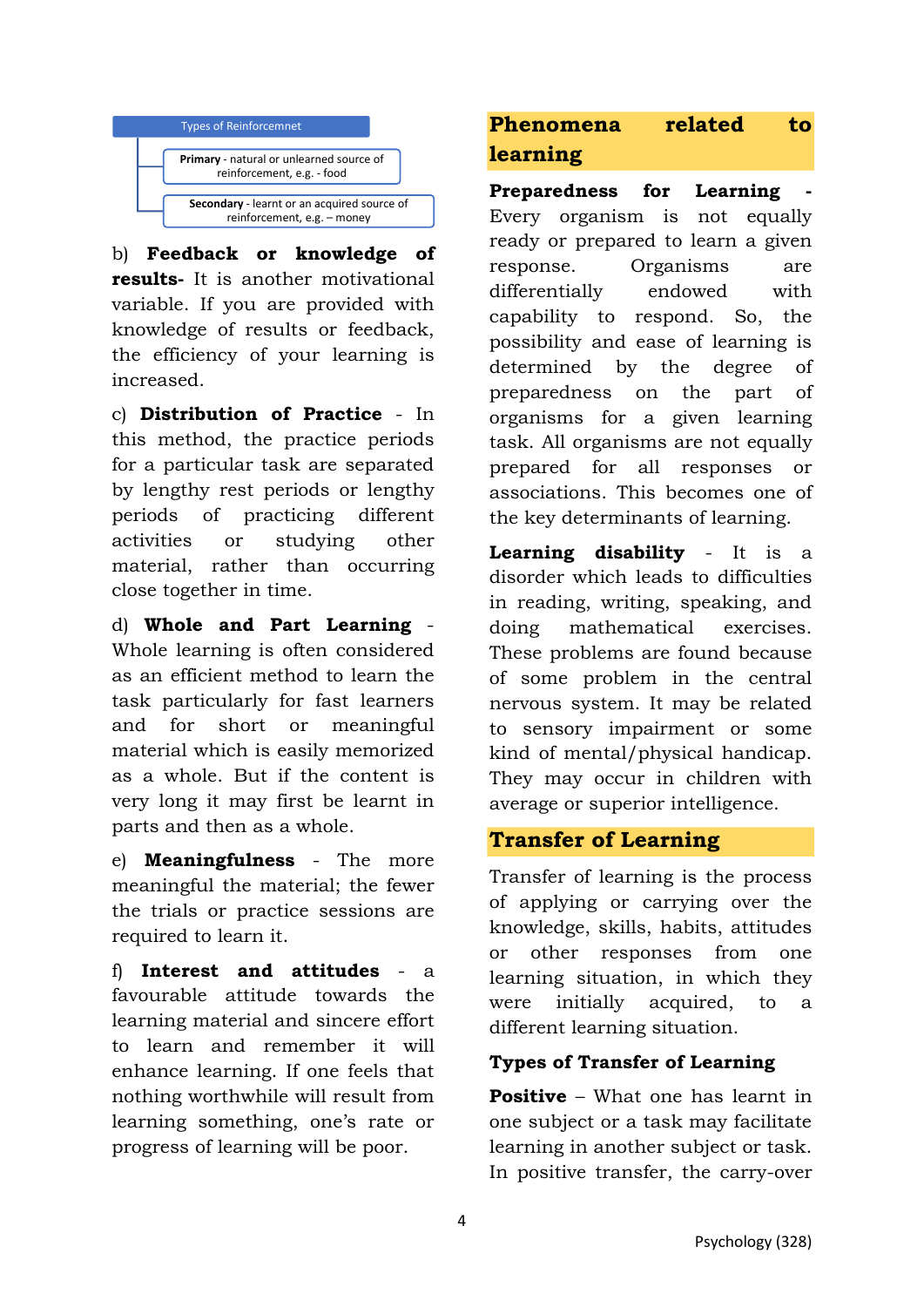

b) **Feedback or knowledge of results-** It is another motivational variable. If you are provided with knowledge of results or feedback, the efficiency of your learning is increased.

c) **Distribution of Practice** - In this method, the practice periods for a particular task are separated by lengthy rest periods or lengthy periods of practicing different activities or studying other material, rather than occurring close together in time.

d) **Whole and Part Learning** - Whole learning is often considered as an efficient method to learn the task particularly for fast learners and for short or meaningful material which is easily memorized as a whole. But if the content is very long it may first be learnt in parts and then as a whole.

e) **Meaningfulness** - The more meaningful the material; the fewer the trials or practice sessions are required to learn it.

f) **Interest and attitudes** - a favourable attitude towards the learning material and sincere effort to learn and remember it will enhance learning. If one feels that nothing worthwhile will result from learning something, one's rate or progress of learning will be poor.

## **Phenomena related to learning**

**Preparedness for Learning** Every organism is not equally ready or prepared to learn a given response. Organisms are differentially endowed with capability to respond. So, the possibility and ease of learning is determined by the degree of preparedness on the part of organisms for a given learning task. All organisms are not equally prepared for all responses or associations. This becomes one of the key determinants of learning.

**Learning disability** - It is a disorder which leads to difficulties in reading, writing, speaking, and doing mathematical exercises. These problems are found because of some problem in the central nervous system. It may be related to sensory impairment or some kind of mental/physical handicap. They may occur in children with average or superior intelligence.

## **Transfer of Learning**

Transfer of learning is the process of applying or carrying over the knowledge, skills, habits, attitudes or other responses from one learning situation, in which they were initially acquired, to a different learning situation.

#### **Types of Transfer of Learning**

**Positive** – What one has learnt in one subject or a task may facilitate learning in another subject or task. In positive transfer, the carry-over